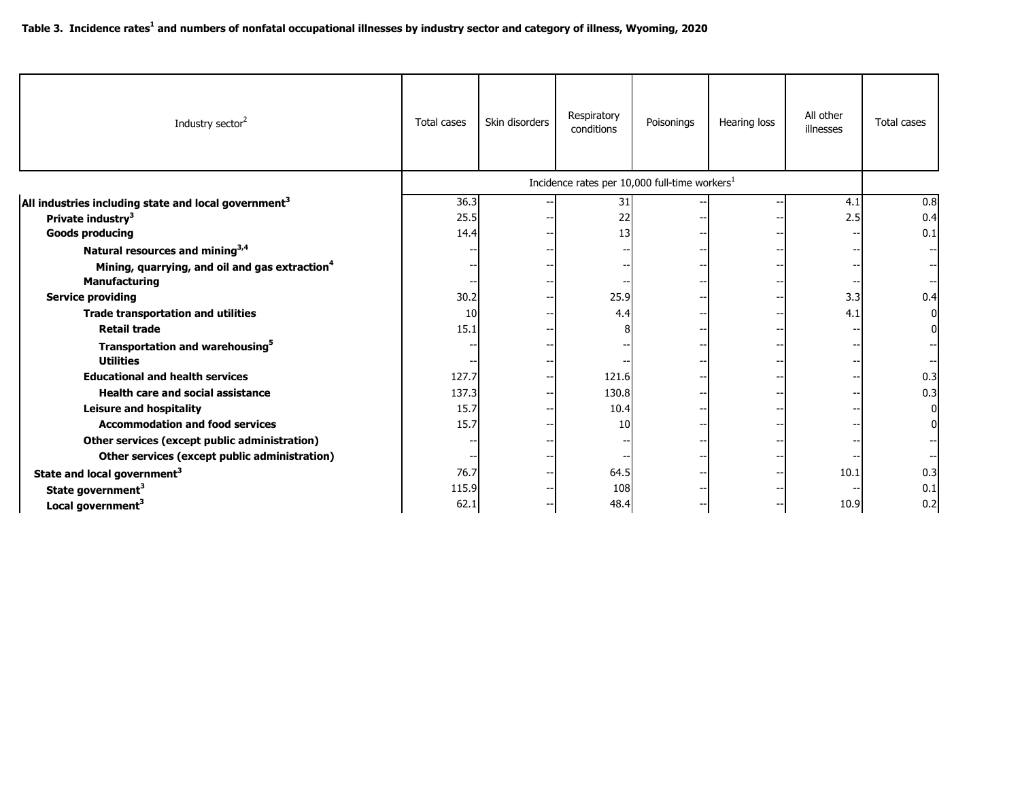| Industry sector <sup>2</sup>                                                       | Total cases | Skin disorders | Respiratory<br>conditions | Poisonings                                                | Hearing loss | All other<br>illnesses | Total cases |
|------------------------------------------------------------------------------------|-------------|----------------|---------------------------|-----------------------------------------------------------|--------------|------------------------|-------------|
|                                                                                    |             |                |                           | Incidence rates per 10,000 full-time workers <sup>1</sup> |              |                        |             |
| All industries including state and local government <sup>3</sup>                   | 36.3        |                | 31                        |                                                           |              | 4.1                    | 0.8         |
| Private industry <sup>3</sup>                                                      | 25.5        |                | 22                        |                                                           |              | 2.5                    | 0.4         |
| <b>Goods producing</b>                                                             | 14.4        |                | 13                        |                                                           |              |                        | 0.1         |
| Natural resources and mining <sup>3,4</sup>                                        |             |                |                           |                                                           |              |                        |             |
| Mining, quarrying, and oil and gas extraction <sup>4</sup><br><b>Manufacturing</b> |             |                |                           |                                                           |              |                        |             |
| <b>Service providing</b>                                                           | 30.2        |                | 25.9                      |                                                           |              | 3.3                    | 0.4         |
| <b>Trade transportation and utilities</b>                                          | 10          |                | 4.4                       |                                                           |              | 4.1                    |             |
| <b>Retail trade</b>                                                                | 15.1        |                |                           |                                                           |              |                        |             |
| Transportation and warehousing <sup>5</sup><br><b>Utilities</b>                    |             |                |                           |                                                           |              |                        |             |
| <b>Educational and health services</b>                                             | 127.7       |                | 121.6                     |                                                           |              |                        | 0.3         |
| <b>Health care and social assistance</b>                                           | 137.3       |                | 130.8                     |                                                           |              |                        | 0.3         |
| <b>Leisure and hospitality</b>                                                     | 15.7        |                | 10.4                      |                                                           |              |                        |             |
| <b>Accommodation and food services</b>                                             | 15.7        |                | 10                        |                                                           |              |                        |             |
| Other services (except public administration)                                      |             |                |                           |                                                           |              |                        |             |
| Other services (except public administration)                                      |             |                |                           |                                                           |              |                        |             |
| State and local government <sup>3</sup>                                            | 76.7        |                | 64.5                      |                                                           |              | 10.1                   | 0.3         |
| State government <sup>3</sup>                                                      | 115.9       |                | 108                       |                                                           |              |                        | 0.1         |
| Local government <sup>3</sup>                                                      | 62.1        |                | 48.4                      |                                                           |              | 10.9                   | 0.2         |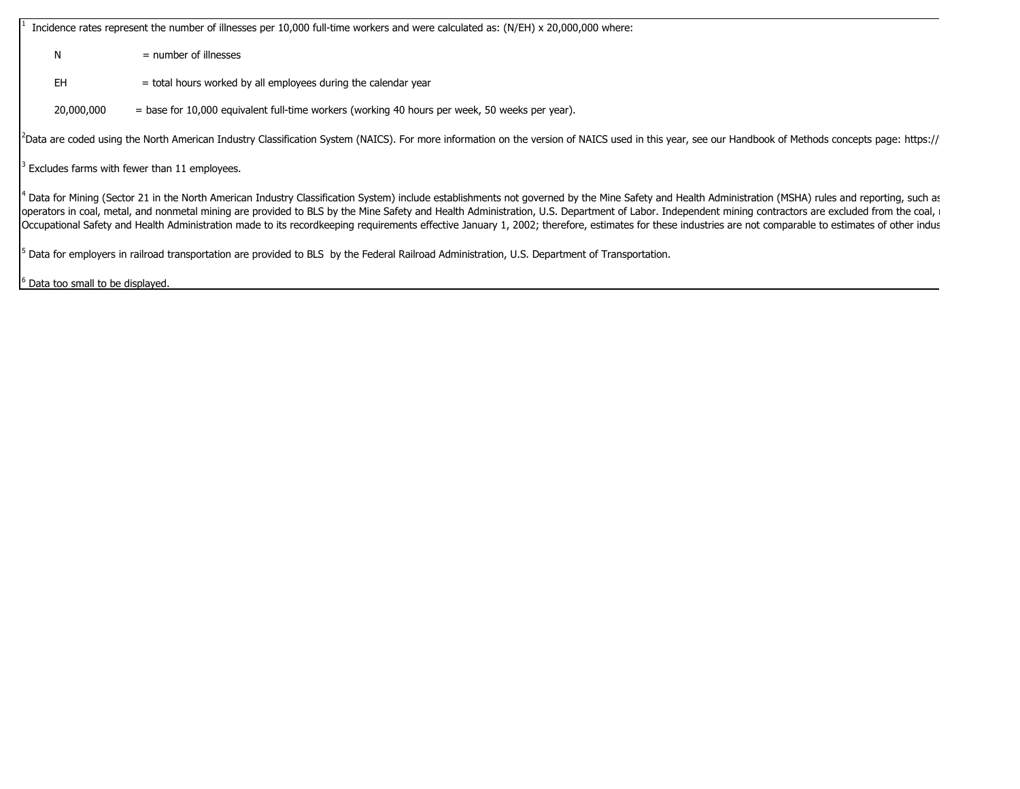1 Incidence rates represent the number of illnesses per 10,000 full-time workers and were calculated as: (N/EH) x 20,000,000 where:

 $N = number of illnesses$ 

- $EH$  = total hours worked by all employees during the calendar year
- 20,000,000 = base for 10,000 equivalent full-time workers (working 40 hours per week, 50 weeks per year).

<sup>2</sup>Data are coded using the North American Industry Classification System (NAICS). For more information on the version of NAICS used in this year, see our Handbook of Methods concepts page: https://

 $3$  Excludes farms with fewer than 11 employees.

4 Data for Mining (Sector 21 in the North American Industry Classification System) include establishments not governed by the Mine Safety and Health Administration (MSHA) rules and reporting, such as operators in coal, metal, and nonmetal mining are provided to BLS by the Mine Safety and Health Administration, U.S. Department of Labor. Independent mining contractors are excluded from the coal, Occupational Safety and Health Administration made to its recordkeeping requirements effective January 1, 2002; therefore, estimates for these industries are not comparable to estimates of other indus

5 Data for employers in railroad transportation are provided to BLS by the Federal Railroad Administration, U.S. Department of Transportation.

6 Data too small to be displayed.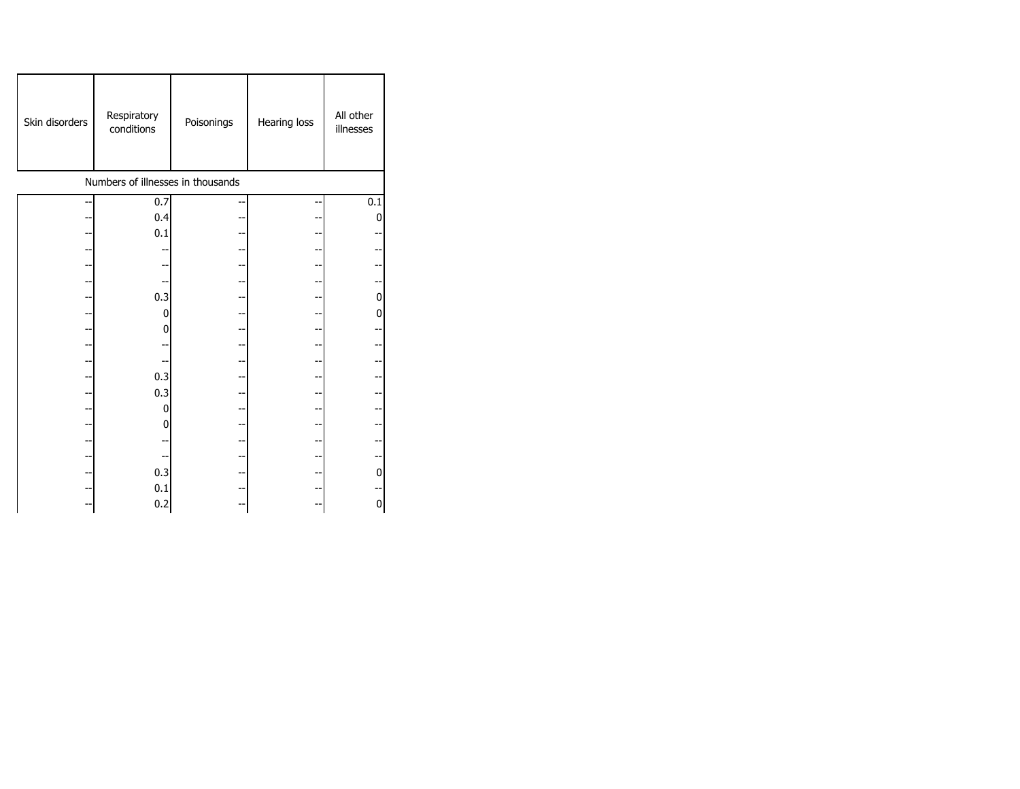| Skin disorders                    | Respiratory<br>conditions | Poisonings | Hearing loss | All other<br>illnesses |  |  |  |  |
|-----------------------------------|---------------------------|------------|--------------|------------------------|--|--|--|--|
| Numbers of illnesses in thousands |                           |            |              |                        |  |  |  |  |
|                                   | 0.7                       |            |              | 0.1                    |  |  |  |  |
|                                   | 0.4                       |            |              | 0                      |  |  |  |  |
|                                   | 0.1                       |            |              |                        |  |  |  |  |
|                                   |                           |            |              |                        |  |  |  |  |
|                                   |                           |            |              |                        |  |  |  |  |
|                                   |                           |            |              |                        |  |  |  |  |
|                                   | 0.3                       |            |              | $\mathbf 0$            |  |  |  |  |
|                                   | 0                         |            |              | 0                      |  |  |  |  |
|                                   | 0                         |            |              |                        |  |  |  |  |
|                                   |                           |            |              |                        |  |  |  |  |
|                                   |                           |            |              |                        |  |  |  |  |
|                                   | 0.3                       |            |              |                        |  |  |  |  |
|                                   | 0.3                       |            |              |                        |  |  |  |  |
|                                   | 0                         |            |              |                        |  |  |  |  |
|                                   | 0                         |            |              |                        |  |  |  |  |
|                                   |                           |            |              |                        |  |  |  |  |
|                                   |                           |            |              |                        |  |  |  |  |
|                                   | 0.3                       | --         |              | $\mathbf{0}$           |  |  |  |  |
|                                   | 0.1                       |            |              |                        |  |  |  |  |
|                                   | 0.2                       |            |              | 0                      |  |  |  |  |